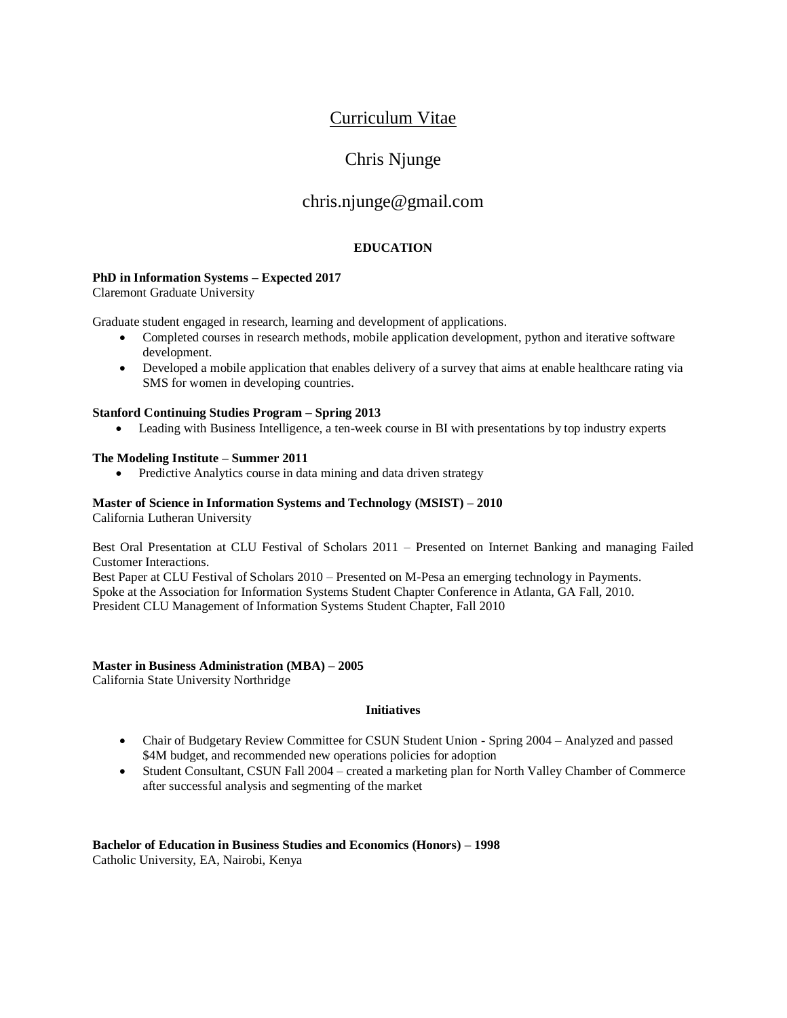## Curriculum Vitae

# Chris Njunge

## chris.njunge@gmail.com

## **EDUCATION**

### **PhD in Information Systems – Expected 2017**

Claremont Graduate University

Graduate student engaged in research, learning and development of applications.

- Completed courses in research methods, mobile application development, python and iterative software development.
- Developed a mobile application that enables delivery of a survey that aims at enable healthcare rating via SMS for women in developing countries.

### **Stanford Continuing Studies Program – Spring 2013**

• Leading with Business Intelligence, a ten-week course in BI with presentations by top industry experts

### **The Modeling Institute – Summer 2011**

• Predictive Analytics course in data mining and data driven strategy

## **Master of Science in Information Systems and Technology (MSIST) – 2010**

California Lutheran University

Best Oral Presentation at CLU Festival of Scholars 2011 – Presented on Internet Banking and managing Failed Customer Interactions.

Best Paper at CLU Festival of Scholars 2010 – Presented on M-Pesa an emerging technology in Payments. Spoke at the Association for Information Systems Student Chapter Conference in Atlanta, GA Fall, 2010. President CLU Management of Information Systems Student Chapter, Fall 2010

### **Master in Business Administration (MBA) – 2005**

California State University Northridge

### **Initiatives**

- Chair of Budgetary Review Committee for CSUN Student Union Spring 2004 Analyzed and passed \$4M budget, and recommended new operations policies for adoption
- Student Consultant, CSUN Fall 2004 created a marketing plan for North Valley Chamber of Commerce after successful analysis and segmenting of the market

#### **Bachelor of Education in Business Studies and Economics (Honors) – 1998** Catholic University, EA, Nairobi, Kenya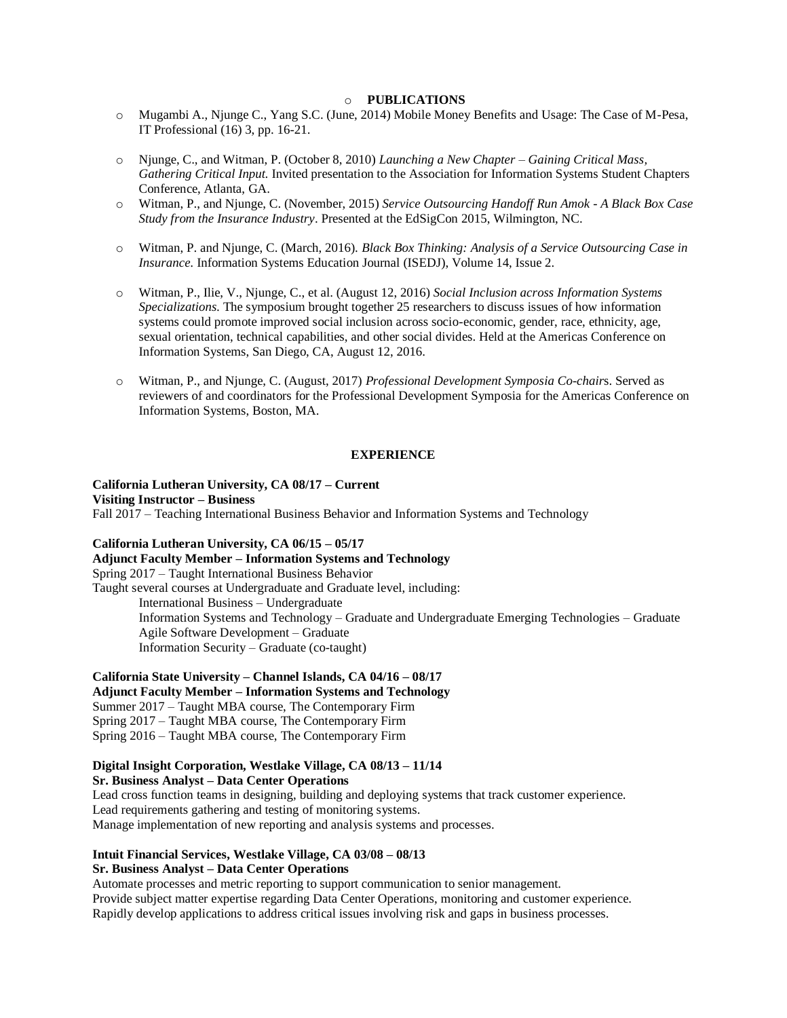#### o **PUBLICATIONS**

- o Mugambi A., Njunge C., Yang S.C. (June, 2014) Mobile Money Benefits and Usage: The Case of M-Pesa, IT Professional (16) 3, pp. 16-21.
- o Njunge, C., and Witman, P. (October 8, 2010) *Launching a New Chapter – Gaining Critical Mass, Gathering Critical Input.* Invited presentation to the Association for Information Systems Student Chapters Conference, Atlanta, GA.
- o Witman, P., and Njunge, C. (November, 2015) *Service Outsourcing Handoff Run Amok - A Black Box Case Study from the Insurance Industry*. Presented at the EdSigCon 2015, Wilmington, NC.
- o Witman, P. and Njunge, C. (March, 2016). *Black Box Thinking: Analysis of a Service Outsourcing Case in Insurance.* Information Systems Education Journal (ISEDJ), Volume 14, Issue 2.
- o Witman, P., Ilie, V., Njunge, C., et al. (August 12, 2016) *Social Inclusion across Information Systems Specializations.* The symposium brought together 25 researchers to discuss issues of how information systems could promote improved social inclusion across socio-economic, gender, race, ethnicity, age, sexual orientation, technical capabilities, and other social divides. Held at the Americas Conference on Information Systems, San Diego, CA, August 12, 2016.
- o Witman, P., and Njunge, C. (August, 2017) *Professional Development Symposia Co-chair*s. Served as reviewers of and coordinators for the Professional Development Symposia for the Americas Conference on Information Systems, Boston, MA.

#### **EXPERIENCE**

## **California Lutheran University, CA 08/17 – Current**

**Visiting Instructor – Business**

Fall 2017 – Teaching International Business Behavior and Information Systems and Technology

#### **California Lutheran University, CA 06/15 – 05/17**

### **Adjunct Faculty Member – Information Systems and Technology**

Spring 2017 – Taught International Business Behavior

Taught several courses at Undergraduate and Graduate level, including: International Business – Undergraduate Information Systems and Technology – Graduate and Undergraduate Emerging Technologies – Graduate Agile Software Development – Graduate Information Security – Graduate (co-taught)

#### **California State University – Channel Islands, CA 04/16 – 08/17**

**Adjunct Faculty Member – Information Systems and Technology**  Summer 2017 – Taught MBA course, The Contemporary Firm Spring 2017 – Taught MBA course, The Contemporary Firm Spring 2016 – Taught MBA course, The Contemporary Firm

### **Digital Insight Corporation, Westlake Village, CA 08/13 – 11/14**

**Sr. Business Analyst – Data Center Operations**

Lead cross function teams in designing, building and deploying systems that track customer experience. Lead requirements gathering and testing of monitoring systems. Manage implementation of new reporting and analysis systems and processes.

#### **Intuit Financial Services, Westlake Village, CA 03/08 – 08/13 Sr. Business Analyst – Data Center Operations**

Automate processes and metric reporting to support communication to senior management. Provide subject matter expertise regarding Data Center Operations, monitoring and customer experience. Rapidly develop applications to address critical issues involving risk and gaps in business processes.